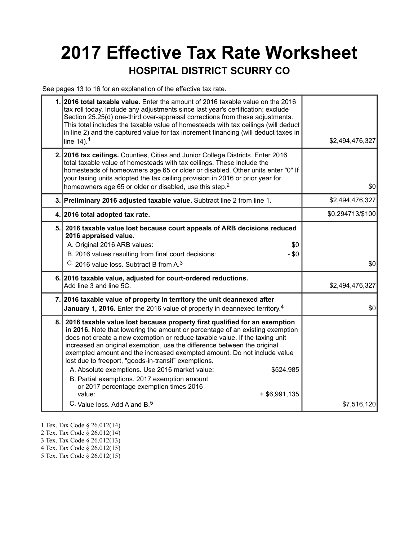## **2017 Effective Tax Rate Worksheet HOSPITAL DISTRICT SCURRY CO**

See pages 13 to 16 for an explanation of the effective tax rate.

|    | 1. 2016 total taxable value. Enter the amount of 2016 taxable value on the 2016<br>tax roll today. Include any adjustments since last year's certification; exclude<br>Section 25.25(d) one-third over-appraisal corrections from these adjustments.<br>This total includes the taxable value of homesteads with tax ceilings (will deduct<br>in line 2) and the captured value for tax increment financing (will deduct taxes in<br>line $14$ ). <sup>1</sup>                                                                                                                                                                                                                              | \$2,494,476,327  |
|----|---------------------------------------------------------------------------------------------------------------------------------------------------------------------------------------------------------------------------------------------------------------------------------------------------------------------------------------------------------------------------------------------------------------------------------------------------------------------------------------------------------------------------------------------------------------------------------------------------------------------------------------------------------------------------------------------|------------------|
|    | 2. 2016 tax ceilings. Counties, Cities and Junior College Districts. Enter 2016<br>total taxable value of homesteads with tax ceilings. These include the<br>homesteads of homeowners age 65 or older or disabled. Other units enter "0" If<br>your taxing units adopted the tax ceiling provision in 2016 or prior year for<br>homeowners age 65 or older or disabled, use this step. <sup>2</sup>                                                                                                                                                                                                                                                                                         | \$0              |
|    | 3. Preliminary 2016 adjusted taxable value. Subtract line 2 from line 1.                                                                                                                                                                                                                                                                                                                                                                                                                                                                                                                                                                                                                    | \$2,494,476,327  |
|    | 4. 2016 total adopted tax rate.                                                                                                                                                                                                                                                                                                                                                                                                                                                                                                                                                                                                                                                             | \$0.294713/\$100 |
| 5. | 2016 taxable value lost because court appeals of ARB decisions reduced<br>2016 appraised value.<br>A. Original 2016 ARB values:<br>\$0<br>B. 2016 values resulting from final court decisions:<br>$-$ \$0<br>C. 2016 value loss. Subtract B from A. <sup>3</sup>                                                                                                                                                                                                                                                                                                                                                                                                                            | \$0              |
|    | 6. 2016 taxable value, adjusted for court-ordered reductions.<br>Add line 3 and line 5C.                                                                                                                                                                                                                                                                                                                                                                                                                                                                                                                                                                                                    | \$2,494,476,327  |
|    | 7. 2016 taxable value of property in territory the unit deannexed after<br>January 1, 2016. Enter the 2016 value of property in deannexed territory. <sup>4</sup>                                                                                                                                                                                                                                                                                                                                                                                                                                                                                                                           | \$0              |
| 8. | 2016 taxable value lost because property first qualified for an exemption<br>in 2016. Note that lowering the amount or percentage of an existing exemption<br>does not create a new exemption or reduce taxable value. If the taxing unit<br>increased an original exemption, use the difference between the original<br>exempted amount and the increased exempted amount. Do not include value<br>lost due to freeport, "goods-in-transit" exemptions.<br>A. Absolute exemptions. Use 2016 market value:<br>\$524,985<br>B. Partial exemptions. 2017 exemption amount<br>or 2017 percentage exemption times 2016<br>value:<br>$+$ \$6,991,135<br>C. Value loss. Add A and B. <sup>5</sup> | \$7,516,120      |

- 1 Tex. Tax Code § 26.012(14)
- 2 Tex. Tax Code § 26.012(14)
- 3 Tex. Tax Code § 26.012(13)
- 4 Tex. Tax Code § 26.012(15)
- 5 Tex. Tax Code § 26.012(15)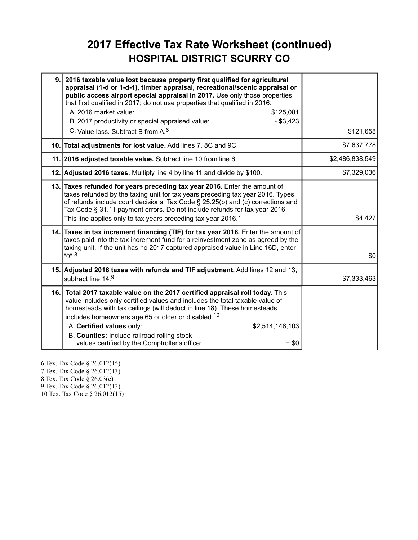### **2017 Effective Tax Rate Worksheet (continued) HOSPITAL DISTRICT SCURRY CO**

| 9. | 2016 taxable value lost because property first qualified for agricultural<br>appraisal (1-d or 1-d-1), timber appraisal, recreational/scenic appraisal or<br>public access airport special appraisal in 2017. Use only those properties<br>that first qualified in 2017; do not use properties that qualified in 2016.<br>A. 2016 market value:<br>\$125,081<br>$-$ \$3,423<br>B. 2017 productivity or special appraised value:<br>C. Value loss, Subtract B from A. <sup>6</sup> | \$121,658       |
|----|-----------------------------------------------------------------------------------------------------------------------------------------------------------------------------------------------------------------------------------------------------------------------------------------------------------------------------------------------------------------------------------------------------------------------------------------------------------------------------------|-----------------|
|    | 10. Total adjustments for lost value. Add lines 7, 8C and 9C.                                                                                                                                                                                                                                                                                                                                                                                                                     | \$7,637,778     |
|    | 11. 2016 adjusted taxable value. Subtract line 10 from line 6.                                                                                                                                                                                                                                                                                                                                                                                                                    | \$2,486,838,549 |
|    | 12. Adjusted 2016 taxes. Multiply line 4 by line 11 and divide by \$100.                                                                                                                                                                                                                                                                                                                                                                                                          | \$7,329,036     |
|    | 13. Taxes refunded for years preceding tax year 2016. Enter the amount of<br>taxes refunded by the taxing unit for tax years preceding tax year 2016. Types<br>of refunds include court decisions, Tax Code § 25.25(b) and (c) corrections and<br>Tax Code § 31.11 payment errors. Do not include refunds for tax year 2016.<br>This line applies only to tax years preceding tax year 2016. <sup>7</sup>                                                                         | \$4,427         |
|    | 14. Taxes in tax increment financing (TIF) for tax year 2016. Enter the amount of<br>taxes paid into the tax increment fund for a reinvestment zone as agreed by the<br>taxing unit. If the unit has no 2017 captured appraised value in Line 16D, enter<br>$"0"$ . <sup>8</sup>                                                                                                                                                                                                  | \$0             |
|    | 15. Adjusted 2016 taxes with refunds and TIF adjustment. Add lines 12 and 13,<br>subtract line 14.9                                                                                                                                                                                                                                                                                                                                                                               | \$7,333,463     |
|    | 16. Total 2017 taxable value on the 2017 certified appraisal roll today. This<br>value includes only certified values and includes the total taxable value of<br>homesteads with tax ceilings (will deduct in line 18). These homesteads<br>includes homeowners age 65 or older or disabled. <sup>10</sup><br>A. Certified values only:<br>\$2,514,146,103<br>B. Counties: Include railroad rolling stock<br>values certified by the Comptroller's office:<br>$+$ \$0             |                 |

6 Tex. Tax Code § 26.012(15) 7 Tex. Tax Code § 26.012(13) 8 Tex. Tax Code § 26.03(c) 9 Tex. Tax Code § 26.012(13) 10 Tex. Tax Code § 26.012(15)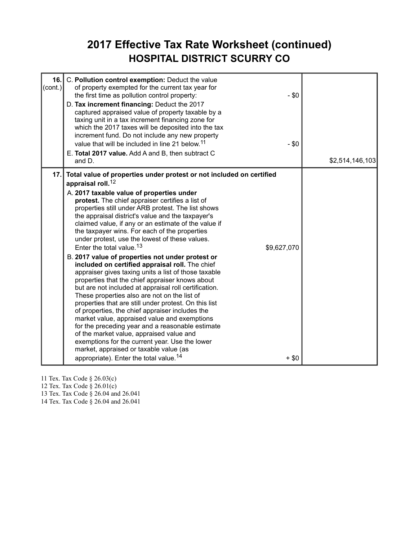### **2017 Effective Tax Rate Worksheet (continued) HOSPITAL DISTRICT SCURRY CO**

| 16.<br>$\text{(cont.)}$ | C. Pollution control exemption: Deduct the value<br>of property exempted for the current tax year for<br>$-$ \$0<br>the first time as pollution control property:<br>D. Tax increment financing: Deduct the 2017<br>captured appraised value of property taxable by a<br>taxing unit in a tax increment financing zone for<br>which the 2017 taxes will be deposited into the tax<br>increment fund. Do not include any new property<br>value that will be included in line 21 below. <sup>11</sup><br>$- $0$<br>E. Total 2017 value. Add A and B, then subtract C<br>and D.                                                                                                                                                                                                                                                                                                                                                                                                                                                                                                                                                                                                                                                                                                            | \$2,514,146,103 |
|-------------------------|-----------------------------------------------------------------------------------------------------------------------------------------------------------------------------------------------------------------------------------------------------------------------------------------------------------------------------------------------------------------------------------------------------------------------------------------------------------------------------------------------------------------------------------------------------------------------------------------------------------------------------------------------------------------------------------------------------------------------------------------------------------------------------------------------------------------------------------------------------------------------------------------------------------------------------------------------------------------------------------------------------------------------------------------------------------------------------------------------------------------------------------------------------------------------------------------------------------------------------------------------------------------------------------------|-----------------|
| 17.1                    | Total value of properties under protest or not included on certified<br>appraisal roll. <sup>12</sup><br>A. 2017 taxable value of properties under<br>protest. The chief appraiser certifies a list of<br>properties still under ARB protest. The list shows<br>the appraisal district's value and the taxpayer's<br>claimed value, if any or an estimate of the value if<br>the taxpayer wins. For each of the properties<br>under protest, use the lowest of these values.<br>Enter the total value. <sup>13</sup><br>\$9,627,070<br>B. 2017 value of properties not under protest or<br>included on certified appraisal roll. The chief<br>appraiser gives taxing units a list of those taxable<br>properties that the chief appraiser knows about<br>but are not included at appraisal roll certification.<br>These properties also are not on the list of<br>properties that are still under protest. On this list<br>of properties, the chief appraiser includes the<br>market value, appraised value and exemptions<br>for the preceding year and a reasonable estimate<br>of the market value, appraised value and<br>exemptions for the current year. Use the lower<br>market, appraised or taxable value (as<br>appropriate). Enter the total value. <sup>14</sup><br>$+$ \$0 |                 |

11 Tex. Tax Code § 26.03(c)

12 Tex. Tax Code § 26.01(c)

13 Tex. Tax Code § 26.04 and 26.041

14 Tex. Tax Code § 26.04 and 26.041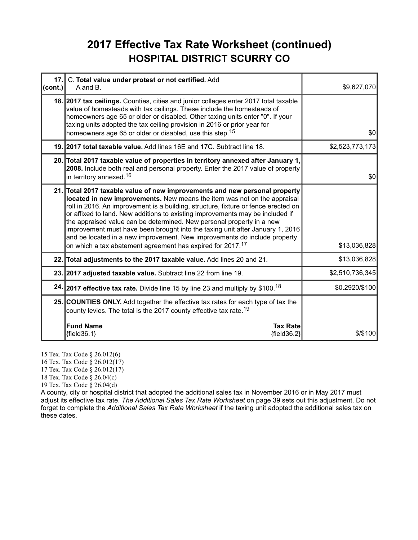### **2017 Effective Tax Rate Worksheet (continued) HOSPITAL DISTRICT SCURRY CO**

| 17.<br>(cont.) | C. Total value under protest or not certified. Add<br>A and B.                                                                                                                                                                                                                                                                                                                                                                                                                                                                                                                                                                                 | \$9,627,070     |
|----------------|------------------------------------------------------------------------------------------------------------------------------------------------------------------------------------------------------------------------------------------------------------------------------------------------------------------------------------------------------------------------------------------------------------------------------------------------------------------------------------------------------------------------------------------------------------------------------------------------------------------------------------------------|-----------------|
|                | 18. 2017 tax ceilings. Counties, cities and junior colleges enter 2017 total taxable<br>value of homesteads with tax ceilings. These include the homesteads of<br>homeowners age 65 or older or disabled. Other taxing units enter "0". If your<br>taxing units adopted the tax ceiling provision in 2016 or prior year for<br>homeowners age 65 or older or disabled, use this step. <sup>15</sup>                                                                                                                                                                                                                                            | \$0             |
|                | 19. 2017 total taxable value. Add lines 16E and 17C. Subtract line 18.                                                                                                                                                                                                                                                                                                                                                                                                                                                                                                                                                                         | \$2,523,773,173 |
|                | 20. Total 2017 taxable value of properties in territory annexed after January 1,<br>2008. Include both real and personal property. Enter the 2017 value of property<br>in territory annexed. <sup>16</sup>                                                                                                                                                                                                                                                                                                                                                                                                                                     | \$0             |
|                | 21. Total 2017 taxable value of new improvements and new personal property<br>located in new improvements. New means the item was not on the appraisal<br>roll in 2016. An improvement is a building, structure, fixture or fence erected on<br>or affixed to land. New additions to existing improvements may be included if<br>the appraised value can be determined. New personal property in a new<br>improvement must have been brought into the taxing unit after January 1, 2016<br>and be located in a new improvement. New improvements do include property<br>on which a tax abatement agreement has expired for 2017. <sup>17</sup> | \$13,036,828    |
|                | 22. Total adjustments to the 2017 taxable value. Add lines 20 and 21.                                                                                                                                                                                                                                                                                                                                                                                                                                                                                                                                                                          | \$13,036,828    |
|                | 23. 2017 adjusted taxable value. Subtract line 22 from line 19.                                                                                                                                                                                                                                                                                                                                                                                                                                                                                                                                                                                | \$2,510,736,345 |
|                | 24. 2017 effective tax rate. Divide line 15 by line 23 and multiply by \$100. <sup>18</sup>                                                                                                                                                                                                                                                                                                                                                                                                                                                                                                                                                    | \$0.2920/\$100  |
|                | 25. COUNTIES ONLY. Add together the effective tax rates for each type of tax the<br>county levies. The total is the 2017 county effective tax rate. <sup>19</sup>                                                                                                                                                                                                                                                                                                                                                                                                                                                                              |                 |
|                | <b>Fund Name</b><br><b>Tax Rate</b><br>${field36.1}$<br>${field36.2}$                                                                                                                                                                                                                                                                                                                                                                                                                                                                                                                                                                          | $$$ /\$100      |

15 Tex. Tax Code § 26.012(6)

16 Tex. Tax Code § 26.012(17)

17 Tex. Tax Code § 26.012(17)

18 Tex. Tax Code § 26.04(c)

19 Tex. Tax Code § 26.04(d)

A county, city or hospital district that adopted the additional sales tax in November 2016 or in May 2017 must adjust its effective tax rate. *The Additional Sales Tax Rate Worksheet* on page 39 sets out this adjustment. Do not forget to complete the *Additional Sales Tax Rate Worksheet* if the taxing unit adopted the additional sales tax on these dates.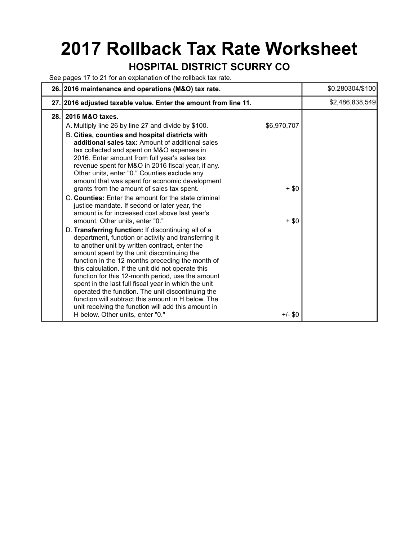# **2017 Rollback Tax Rate Worksheet**

### **HOSPITAL DISTRICT SCURRY CO**

See pages 17 to 21 for an explanation of the rollback tax rate.

| 26. 2016 maintenance and operations (M&O) tax rate.                                                                                                                                                                                                                                                                                                                                                                                                                                                                                                                                                                                                                                                                                                                                                                                                                                                                                                                                                                                                                                                                                                                                                                                                                                                                                 |                                              | \$0.280304/\$100 |
|-------------------------------------------------------------------------------------------------------------------------------------------------------------------------------------------------------------------------------------------------------------------------------------------------------------------------------------------------------------------------------------------------------------------------------------------------------------------------------------------------------------------------------------------------------------------------------------------------------------------------------------------------------------------------------------------------------------------------------------------------------------------------------------------------------------------------------------------------------------------------------------------------------------------------------------------------------------------------------------------------------------------------------------------------------------------------------------------------------------------------------------------------------------------------------------------------------------------------------------------------------------------------------------------------------------------------------------|----------------------------------------------|------------------|
| 27. 2016 adjusted taxable value. Enter the amount from line 11.                                                                                                                                                                                                                                                                                                                                                                                                                                                                                                                                                                                                                                                                                                                                                                                                                                                                                                                                                                                                                                                                                                                                                                                                                                                                     |                                              | \$2,486,838,549  |
| 2016 M&O taxes.<br>28.<br>A. Multiply line 26 by line 27 and divide by \$100.<br>B. Cities, counties and hospital districts with<br>additional sales tax: Amount of additional sales<br>tax collected and spent on M&O expenses in<br>2016. Enter amount from full year's sales tax<br>revenue spent for M&O in 2016 fiscal year, if any.<br>Other units, enter "0." Counties exclude any<br>amount that was spent for economic development<br>grants from the amount of sales tax spent.<br>C. Counties: Enter the amount for the state criminal<br>justice mandate. If second or later year, the<br>amount is for increased cost above last year's<br>amount. Other units, enter "0."<br>D. Transferring function: If discontinuing all of a<br>department, function or activity and transferring it<br>to another unit by written contract, enter the<br>amount spent by the unit discontinuing the<br>function in the 12 months preceding the month of<br>this calculation. If the unit did not operate this<br>function for this 12-month period, use the amount<br>spent in the last full fiscal year in which the unit<br>operated the function. The unit discontinuing the<br>function will subtract this amount in H below. The<br>unit receiving the function will add this amount in<br>H below. Other units, enter "0." | \$6,970,707<br>$+$ \$0<br>$+$ \$0<br>+/- \$0 |                  |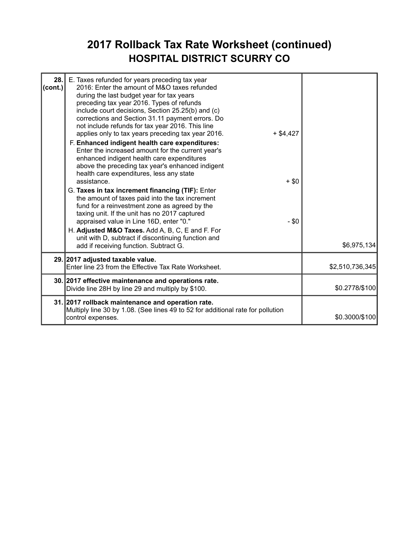### **2017 Rollback Tax Rate Worksheet (continued) HOSPITAL DISTRICT SCURRY CO**

| 28.<br>(cont.) | E. Taxes refunded for years preceding tax year<br>2016: Enter the amount of M&O taxes refunded<br>during the last budget year for tax years<br>preceding tax year 2016. Types of refunds<br>include court decisions, Section 25.25(b) and (c)<br>corrections and Section 31.11 payment errors. Do<br>not include refunds for tax year 2016. This line<br>applies only to tax years preceding tax year 2016.<br>$+$ \$4,427<br>F. Enhanced indigent health care expenditures:<br>Enter the increased amount for the current year's<br>enhanced indigent health care expenditures<br>above the preceding tax year's enhanced indigent<br>health care expenditures, less any state<br>assistance.<br>$+$ \$0<br>G. Taxes in tax increment financing (TIF): Enter<br>the amount of taxes paid into the tax increment<br>fund for a reinvestment zone as agreed by the<br>taxing unit. If the unit has no 2017 captured<br>appraised value in Line 16D, enter "0."<br>$- $0$<br>H. Adjusted M&O Taxes. Add A, B, C, E and F. For<br>unit with D, subtract if discontinuing function and<br>add if receiving function. Subtract G. | \$6,975,134     |
|----------------|------------------------------------------------------------------------------------------------------------------------------------------------------------------------------------------------------------------------------------------------------------------------------------------------------------------------------------------------------------------------------------------------------------------------------------------------------------------------------------------------------------------------------------------------------------------------------------------------------------------------------------------------------------------------------------------------------------------------------------------------------------------------------------------------------------------------------------------------------------------------------------------------------------------------------------------------------------------------------------------------------------------------------------------------------------------------------------------------------------------------------|-----------------|
|                | 29. 2017 adjusted taxable value.<br>Enter line 23 from the Effective Tax Rate Worksheet.                                                                                                                                                                                                                                                                                                                                                                                                                                                                                                                                                                                                                                                                                                                                                                                                                                                                                                                                                                                                                                     | \$2,510,736,345 |
|                | 30. 2017 effective maintenance and operations rate.<br>Divide line 28H by line 29 and multiply by \$100.                                                                                                                                                                                                                                                                                                                                                                                                                                                                                                                                                                                                                                                                                                                                                                                                                                                                                                                                                                                                                     | \$0.2778/\$100  |
|                | 31. 2017 rollback maintenance and operation rate.<br>Multiply line 30 by 1.08. (See lines 49 to 52 for additional rate for pollution<br>control expenses.                                                                                                                                                                                                                                                                                                                                                                                                                                                                                                                                                                                                                                                                                                                                                                                                                                                                                                                                                                    | \$0.3000/\$100  |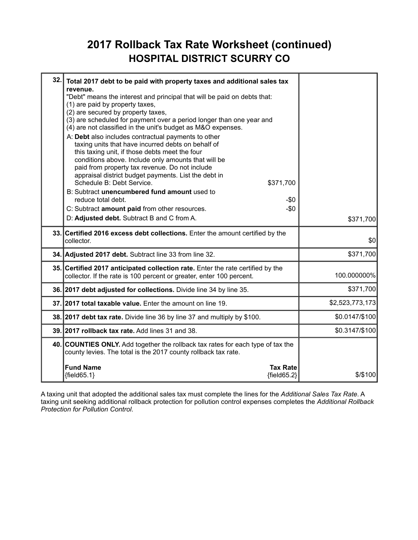### **2017 Rollback Tax Rate Worksheet (continued) HOSPITAL DISTRICT SCURRY CO**

| 32. | Total 2017 debt to be paid with property taxes and additional sales tax<br>revenue.<br>"Debt" means the interest and principal that will be paid on debts that:<br>(1) are paid by property taxes,<br>(2) are secured by property taxes,<br>(3) are scheduled for payment over a period longer than one year and                                                                                                                                                                       |                 |
|-----|----------------------------------------------------------------------------------------------------------------------------------------------------------------------------------------------------------------------------------------------------------------------------------------------------------------------------------------------------------------------------------------------------------------------------------------------------------------------------------------|-----------------|
|     | (4) are not classified in the unit's budget as M&O expenses.<br>A: Debt also includes contractual payments to other<br>taxing units that have incurred debts on behalf of<br>this taxing unit, if those debts meet the four<br>conditions above. Include only amounts that will be<br>paid from property tax revenue. Do not include<br>appraisal district budget payments. List the debt in<br>Schedule B: Debt Service.<br>\$371,700<br>B: Subtract unencumbered fund amount used to |                 |
|     | reduce total debt.<br>-\$0                                                                                                                                                                                                                                                                                                                                                                                                                                                             |                 |
|     | C: Subtract amount paid from other resources.<br>$-\$0$                                                                                                                                                                                                                                                                                                                                                                                                                                |                 |
|     | D: Adjusted debt. Subtract B and C from A.                                                                                                                                                                                                                                                                                                                                                                                                                                             | \$371,700       |
|     | 33. Certified 2016 excess debt collections. Enter the amount certified by the<br>collector.                                                                                                                                                                                                                                                                                                                                                                                            | \$0             |
|     | 34. Adjusted 2017 debt. Subtract line 33 from line 32.                                                                                                                                                                                                                                                                                                                                                                                                                                 | \$371,700       |
|     | 35. Certified 2017 anticipated collection rate. Enter the rate certified by the<br>collector. If the rate is 100 percent or greater, enter 100 percent.                                                                                                                                                                                                                                                                                                                                | 100.000000%     |
|     | 36. 2017 debt adjusted for collections. Divide line 34 by line 35.                                                                                                                                                                                                                                                                                                                                                                                                                     | \$371,700       |
|     | 37. 2017 total taxable value. Enter the amount on line 19.                                                                                                                                                                                                                                                                                                                                                                                                                             | \$2,523,773,173 |
|     | 38. 2017 debt tax rate. Divide line 36 by line 37 and multiply by \$100.                                                                                                                                                                                                                                                                                                                                                                                                               | \$0.0147/\$100  |
|     | 39. 2017 rollback tax rate. Add lines 31 and 38.                                                                                                                                                                                                                                                                                                                                                                                                                                       | \$0.3147/\$100  |
|     | 40. COUNTIES ONLY. Add together the rollback tax rates for each type of tax the<br>county levies. The total is the 2017 county rollback tax rate.                                                                                                                                                                                                                                                                                                                                      |                 |
|     | <b>Fund Name</b><br><b>Tax Rate</b><br>${field65.1}$<br>${fields2}$                                                                                                                                                                                                                                                                                                                                                                                                                    | $$$ /\$100      |

A taxing unit that adopted the additional sales tax must complete the lines for the *Additional Sales Tax Rate*. A taxing unit seeking additional rollback protection for pollution control expenses completes the *Additional Rollback Protection for Pollution Control*.